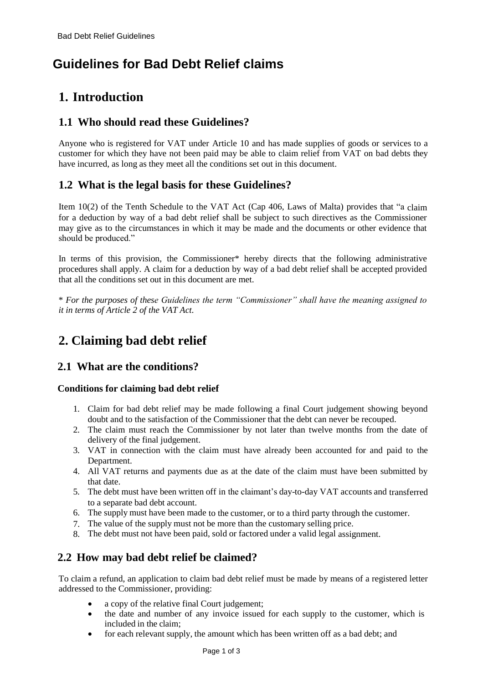# **Guidelines for Bad Debt Relief claims**

## **1. Introduction**

#### **1.1 Who should read these Guidelines?**

Anyone who is registered for VAT under Article 10 and has made supplies of goods or services to a customer for which they have not been paid may be able to claim relief from VAT on bad debts they have incurred, as long as they meet all the conditions set out in this document.

#### **1.2 What is the legal basis for these Guidelines?**

Item 10(2) of the Tenth Schedule to the VAT Act (Cap 406, Laws of Malta) provides that "a claim for a deduction by way of a bad debt relief shall be subject to such directives as the Commissioner may give as to the circumstances in which it may be made and the documents or other evidence that should be produced."

In terms of this provision, the Commissioner\* hereby directs that the following administrative procedures shall apply. A claim for a deduction by way of a bad debt relief shall be accepted provided that all the conditions set out in this document are met.

\* *For the purposes of these Guidelines the term "Commissioner" shall have the meaning assigned to it in terms of Article 2 of the VAT Act.*

# **2. Claiming bad debt relief**

#### **2.1 What are the conditions?**

#### **Conditions for claiming bad debt relief**

- 1. Claim for bad debt relief may be made following a final Court judgement showing beyond doubt and to the satisfaction of the Commissioner that the debt can never be recouped.
- 2. The claim must reach the Commissioner by not later than twelve months from the date of delivery of the final judgement.
- 3. VAT in connection with the claim must have already been accounted for and paid to the Department.
- 4. All VAT returns and payments due as at the date of the claim must have been submitted by that date.
- 5. The debt must have been written off in the claimant's day-to-day VAT accounts and transferred to a separate bad debt account.
- 6. The supply must have been made to the customer, or to a third party through the customer.
- 7. The value of the supply must not be more than the customary selling price.
- 8. The debt must not have been paid, sold or factored under a valid legal assignment.

#### **2.2 How may bad debt relief be claimed?**

To claim a refund, an application to claim bad debt relief must be made by means of a registered letter addressed to the Commissioner, providing:

- a copy of the relative final Court judgement;
- the date and number of any invoice issued for each supply to the customer, which is included in the claim;
- for each relevant supply, the amount which has been written off as a bad debt; and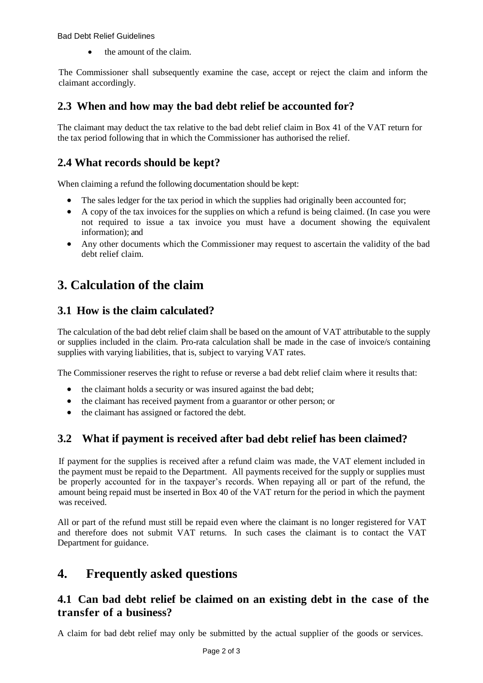Bad Debt Relief Guidelines

the amount of the claim.

The Commissioner shall subsequently examine the case, accept or reject the claim and inform the claimant accordingly.

#### **2.3 When and how may the bad debt relief be accounted for?**

The claimant may deduct the tax relative to the bad debt relief claim in Box 41 of the VAT return for the tax period following that in which the Commissioner has authorised the relief.

#### **2.4 What records should be kept?**

When claiming a refund the following documentation should be kept:

- The sales ledger for the tax period in which the supplies had originally been accounted for;
- A copy of the tax invoices for the supplies on which a refund is being claimed. (In case you were not required to issue a tax invoice you must have a document showing the equivalent information); and
- Any other documents which the Commissioner may request to ascertain the validity of the bad debt relief claim.

# **3. Calculation of the claim**

#### **3.1 How is the claim calculated?**

The calculation of the bad debt relief claim shall be based on the amount of VAT attributable to the supply or supplies included in the claim. Pro-rata calculation shall be made in the case of invoice/s containing supplies with varying liabilities, that is, subject to varying VAT rates.

The Commissioner reserves the right to refuse or reverse a bad debt relief claim where it results that:

- the claimant holds a security or was insured against the bad debt;
- the claimant has received payment from a guarantor or other person; or
- the claimant has assigned or factored the debt.

### **3.2 What if payment is received after bad debt relief has been claimed?**

If payment for the supplies is received after a refund claim was made, the VAT element included in the payment must be repaid to the Department. All payments received for the supply or supplies must be properly accounted for in the taxpayer's records. When repaying all or part of the refund, the amount being repaid must be inserted in Box 40 of the VAT return for the period in which the payment was received.

All or part of the refund must still be repaid even where the claimant is no longer registered for VAT and therefore does not submit VAT returns. In such cases the claimant is to contact the VAT Department for guidance.

### **4. Frequently asked questions**

#### **4.1 Can bad debt relief be claimed on an existing debt in the case of the transfer of a business?**

A claim for bad debt relief may only be submitted by the actual supplier of the goods or services.